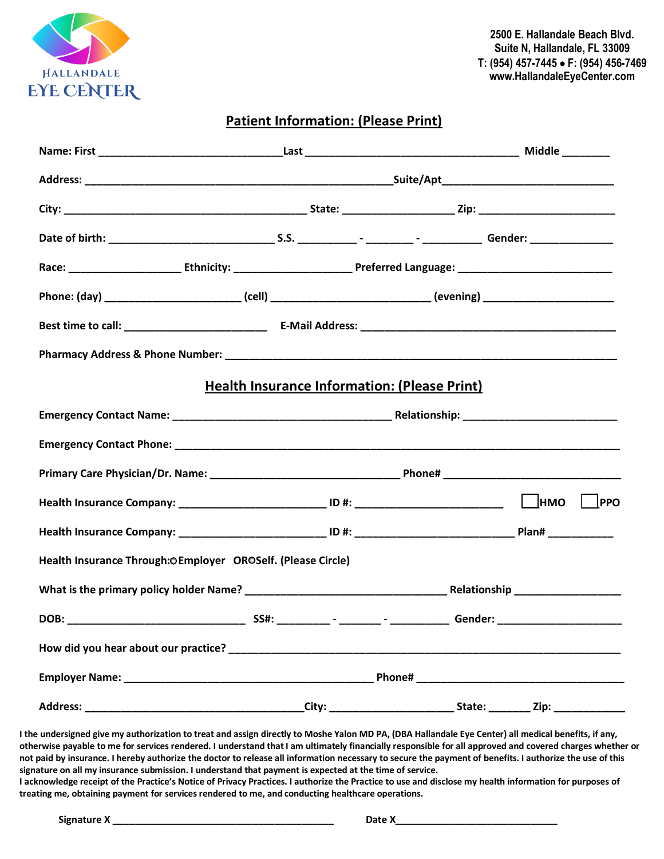

**2500 E. Hallandale Beach Blvd. Suite N, Hallandale, FL 33009 T: (954) 457-7445** • **F: (954) 456-7469 www.HallandaleEyeCenter.com**

### **Patient Information: (Please Print)**

| Phone: (day) _____________________________(cell) _______________________________(evening) __________________________ |  |  |  |  |  |  |  |  |
|----------------------------------------------------------------------------------------------------------------------|--|--|--|--|--|--|--|--|
|                                                                                                                      |  |  |  |  |  |  |  |  |
|                                                                                                                      |  |  |  |  |  |  |  |  |
| <b>Health Insurance Information: (Please Print)</b>                                                                  |  |  |  |  |  |  |  |  |
|                                                                                                                      |  |  |  |  |  |  |  |  |
|                                                                                                                      |  |  |  |  |  |  |  |  |
|                                                                                                                      |  |  |  |  |  |  |  |  |
|                                                                                                                      |  |  |  |  |  |  |  |  |
|                                                                                                                      |  |  |  |  |  |  |  |  |
| Health Insurance Through:OEmployer OROSelf. (Please Circle)                                                          |  |  |  |  |  |  |  |  |
|                                                                                                                      |  |  |  |  |  |  |  |  |
| DOB:                                                                                                                 |  |  |  |  |  |  |  |  |
|                                                                                                                      |  |  |  |  |  |  |  |  |
|                                                                                                                      |  |  |  |  |  |  |  |  |
|                                                                                                                      |  |  |  |  |  |  |  |  |

**I the undersigned give my authorization to treat and assign directly to Moshe Yalon MD PA, (DBA Hallandale Eye Center) all medical benefits, if any, otherwise payable to me for services rendered. I understand that I am ultimately financially responsible for all approved and covered charges whether or not paid by insurance. I hereby authorize the doctor to release all information necessary to secure the payment of benefits. I authorize the use of this signature on all my insurance submission. I understand that payment is expected at the time of service.** 

**I acknowledge receipt of the Practice's Notice of Privacy Practices. I authorize the Practice to use and disclose my health information for purposes of treating me, obtaining payment for services rendered to me, and conducting healthcare operations.**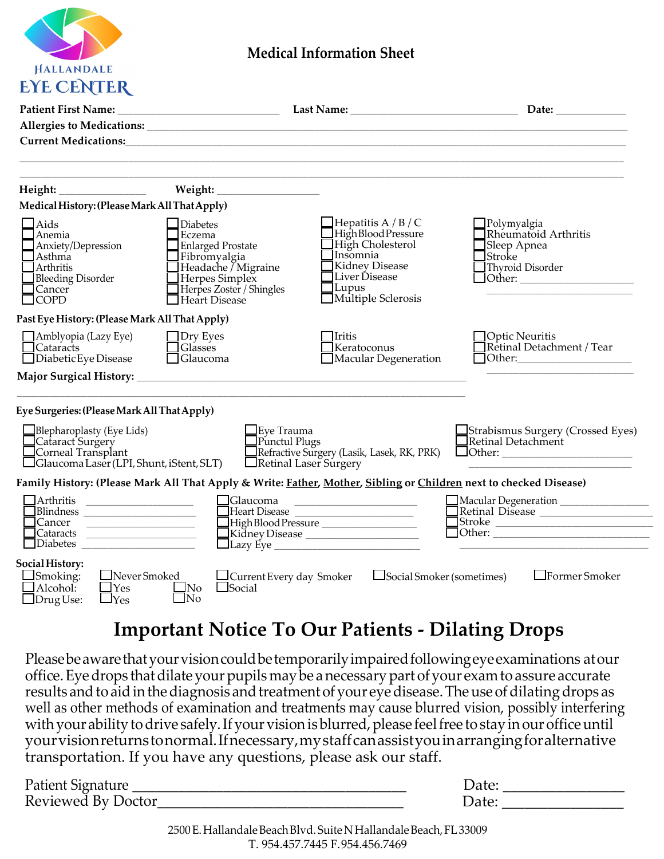

## **Medical Information Sheet**

|                                                                                                                                   |                                                                                                                                                                    |                                                                                                                                                                             | Date:                                                                                    |
|-----------------------------------------------------------------------------------------------------------------------------------|--------------------------------------------------------------------------------------------------------------------------------------------------------------------|-----------------------------------------------------------------------------------------------------------------------------------------------------------------------------|------------------------------------------------------------------------------------------|
|                                                                                                                                   | Allergies to Medications: 1996 and 2008 and 2009 and 2009 and 2009 and 2009 and 2009 and 2009 and 2009 and 200                                                     |                                                                                                                                                                             |                                                                                          |
|                                                                                                                                   |                                                                                                                                                                    |                                                                                                                                                                             |                                                                                          |
|                                                                                                                                   |                                                                                                                                                                    |                                                                                                                                                                             |                                                                                          |
| Medical History: (Please Mark All That Apply)                                                                                     |                                                                                                                                                                    |                                                                                                                                                                             |                                                                                          |
| $\exists$ Aids<br>Anemia<br>Anxiety/Depression<br>Asthma<br>Arthritis<br><b>Bleeding Disorder</b><br>Cancer<br><b>COPD</b>        | <b>Diabetes</b><br>Eczema<br><b>Enlarged Prostate</b><br>Fibromyalgia<br>Headache / Migraine<br>Herpes Simplex<br>Herpes Zoster / Shingles<br>$\Box$ Heart Disease | $\Box$ Hepatitis A / B / C<br>High Blood Pressure<br>High Cholesterol<br>Insomnia<br><b>Kidney Disease</b><br>Liver Disease<br>$\exists$ Lupus<br>$\Box$ Multiple Sclerosis | $\Box$ Polymyalgia<br>Rheumatoid Arthritis<br>Sleep Apnea<br>lStroke<br>Thyroid Disorder |
| Past Eye History: (Please Mark All That Apply)                                                                                    |                                                                                                                                                                    |                                                                                                                                                                             |                                                                                          |
| $\Box$ Amblyopia (Lazy Eye)<br>Cataracts<br>$\Box$ Diabetic Eye Disease                                                           | $\Box$ Dry Eyes<br>Glasses<br>$\Box$ Glaucoma                                                                                                                      | <b>I</b> ritis<br>Keratoconus<br>$\Box$ Macular Degeneration                                                                                                                | ]Optic Neuritis<br>Retinal Detachment / Tear                                             |
|                                                                                                                                   |                                                                                                                                                                    |                                                                                                                                                                             |                                                                                          |
| Eye Surgeries: (Please Mark All That Apply)                                                                                       |                                                                                                                                                                    |                                                                                                                                                                             |                                                                                          |
| Blepharoplasty (Eye Lids)<br>Cataract Surgery<br>Corneal Transplant<br>$\Box$ Glaucoma Laser (LPI, Shunt, iStent, SLT)            | Eye Trauma<br>Punctul Plugs                                                                                                                                        | Refractive Surgery (Lasik, Lasek, RK, PRK)<br>Retinal Laser Surgery                                                                                                         | Strabismus Surgery (Crossed Eyes)<br>$\Box$ Retinal Detachment $\Box$                    |
|                                                                                                                                   | Family History: (Please Mark All That Apply & Write: Father, Mother, Sibling or Children next to checked Disease)                                                  |                                                                                                                                                                             |                                                                                          |
| Arthritis<br>the control of the control of the control of the<br>Blindness _______________________<br>$Cataracts$ $\qquad \qquad$ | <b>G</b> laucoma                                                                                                                                                   | Heart Disease<br>High Blood Pressure ___________________<br>Kidney Disease ______________________                                                                           | Macular Degeneration ________________<br>_Retinal Disease ________________________       |
| Social History:<br>$\Box$ Smoking:<br>$\Box$ Never Smoked<br>Alcohol:<br>$\Box$ Yes<br>$\Box$ Yes<br>$\Box$ Drug Use:             | $\Box$ Current Every day Smoker<br><b>I</b> Social<br>$\bigsqcup$ No<br>$\Box$ No                                                                                  | Social Smoker (sometimes)                                                                                                                                                   | $\Box$ Former Smoker                                                                     |

## **Important Notice To Our Patients - Dilating Drops**

Please be aware that your vision could be temporarily impaired following eye examinations at our office. Eye drops that dilate your pupils may be a necessary part of your exam to assure accurate results and to aid in the diagnosis and treatment of your eye disease. The use of dilating drops as well as other methods of examination and treatments may cause blurred vision, possibly interfering with your ability to drive safely. If your vision is blurred, please feel free to stay in our office until yourvision returnstonormal.Ifnecessary,mystaff canassistyouin arrangingfor alternative transportation. If you have any questions, please ask our staff.

| Patient Signature  |             |  |
|--------------------|-------------|--|
| Reviewed By Doctor | <i>rate</i> |  |

2500 E. Hallandale Beach Blvd. Suite N Hallandale Beach, FL 33009 T. 954.457.7445 F. 954.456.7469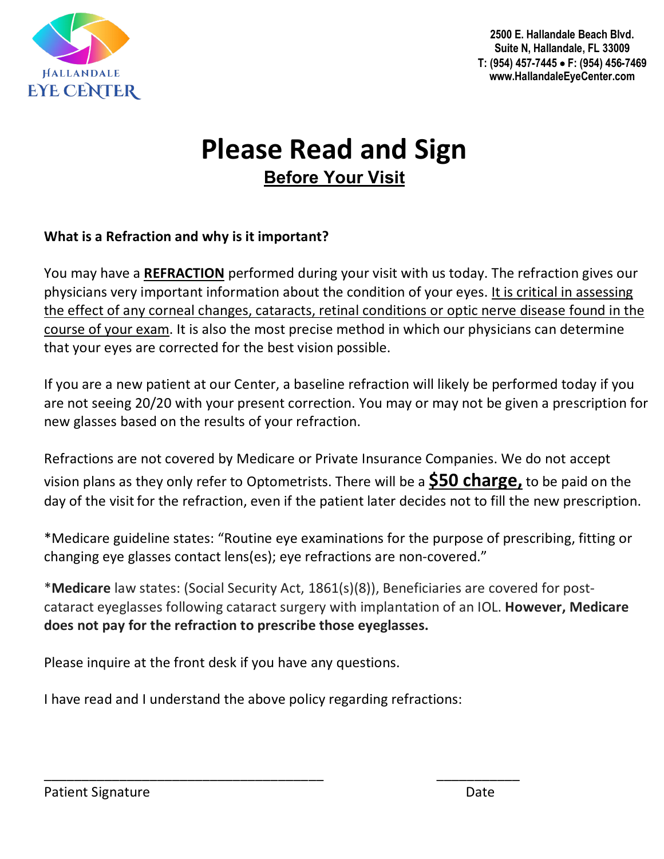

**2500 E. Hallandale Beach Blvd. Suite N, Hallandale, FL 33009 T: (954) 457-7445** • **F: (954) 456-7469 www.HallandaleEyeCenter.com**

# **Please Read and Sign Before Your Visit**

### **What is a Refraction and why is it important?**

You may have a **REFRACTION** performed during your visit with us today. The refraction gives our physicians very important information about the condition of your eyes. It is critical in assessing the effect of any corneal changes, cataracts, retinal conditions or optic nerve disease found in the course of your exam. It is also the most precise method in which our physicians can determine that your eyes are corrected for the best vision possible.

If you are a new patient at our Center, a baseline refraction will likely be performed today if you are not seeing 20/20 with your present correction. You may or may not be given a prescription for new glasses based on the results of your refraction.

Refractions are not covered by Medicare or Private Insurance Companies. We do not accept vision plans as they only refer to Optometrists. There will be a **\$50 charge,** to be paid on the day of the visit for the refraction, even if the patient later decides not to fill the new prescription.

\*Medicare guideline states: "Routine eye examinations for the purpose of prescribing, fitting or changing eye glasses contact lens(es); eye refractions are non-covered."

\***Medicare** law states: (Social Security Act, 1861(s)(8)), Beneficiaries are covered for postcataract eyeglasses following cataract surgery with implantation of an IOL. **However, Medicare does not pay for the refraction to prescribe those eyeglasses.**

Please inquire at the front desk if you have any questions.

I have read and I understand the above policy regarding refractions:

\_\_\_\_\_\_\_\_\_\_\_\_\_\_\_\_\_\_\_\_\_\_\_\_\_\_\_\_\_\_\_\_\_\_\_\_\_ \_\_\_\_\_\_\_\_\_\_\_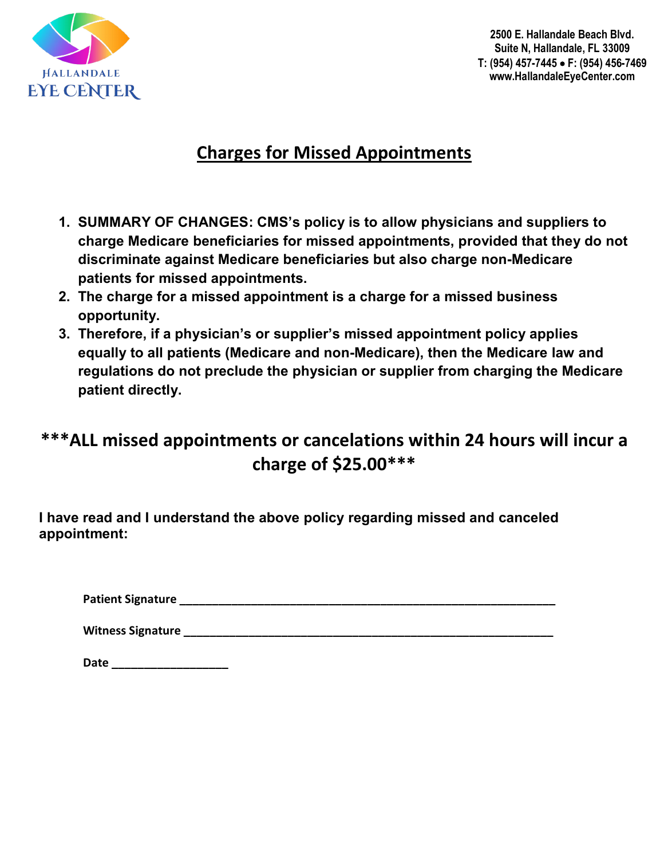

**2500 E. Hallandale Beach Blvd. Suite N, Hallandale, FL 33009 T: (954) 457-7445** • **F: (954) 456-7469 www.HallandaleEyeCenter.com**

## **Charges for Missed Appointments**

- **1. SUMMARY OF CHANGES: CMS's policy is to allow physicians and suppliers to charge Medicare beneficiaries for missed appointments, provided that they do not discriminate against Medicare beneficiaries but also charge non-Medicare patients for missed appointments.**
- **2. The charge for a missed appointment is a charge for a missed business opportunity.**
- **3. Therefore, if a physician's or supplier's missed appointment policy applies equally to all patients (Medicare and non-Medicare), then the Medicare law and regulations do not preclude the physician or supplier from charging the Medicare patient directly.**

## **\*\*\*ALL missed appointments or cancelations within 24 hours will incur a charge of \$25.00\*\*\***

**I have read and I understand the above policy regarding missed and canceled appointment:**

**Patient Signature \_\_\_\_\_\_\_\_\_\_\_\_\_\_\_\_\_\_\_\_\_\_\_\_\_\_\_\_\_\_\_\_\_\_\_\_\_\_\_\_\_\_\_\_\_\_\_\_\_\_\_\_\_\_\_\_\_\_**

**Witness Signature \_\_\_\_\_\_\_\_\_\_\_\_\_\_\_\_\_\_\_\_\_\_\_\_\_\_\_\_\_\_\_\_\_\_\_\_\_\_\_\_\_\_\_\_\_\_\_\_\_\_\_\_\_\_\_\_\_**

**Date \_\_\_\_\_\_\_\_\_\_\_\_\_\_\_\_\_\_**